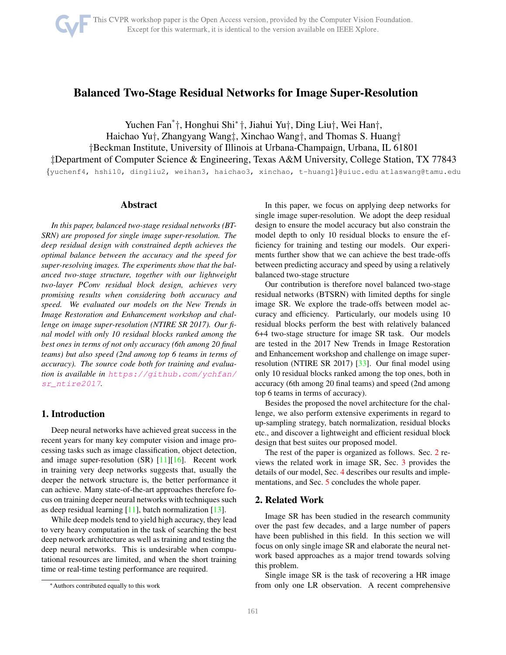# <span id="page-0-1"></span>Balanced Two-Stage Residual Networks for Image Super-Resolution

Yuchen Fan\* †, Honghui Shi<sup>∗</sup> †, Jiahui Yu†, Ding Liu†, Wei Han†, Haichao Yu†, Zhangyang Wang‡, Xinchao Wang†, and Thomas S. Huang† †Beckman Institute, University of Illinois at Urbana-Champaign, Urbana, IL 61801 ‡Department of Computer Science & Engineering, Texas A&M University, College Station, TX 77843 {yuchenf4, hshi10, dingliu2, weihan3, haichao3, xinchao, t-huang1}@uiuc.edu atlaswang@tamu.edu

#### Abstract

*In this paper, balanced two-stage residual networks (BT-SRN) are proposed for single image super-resolution. The deep residual design with constrained depth achieves the optimal balance between the accuracy and the speed for super-resolving images. The experiments show that the balanced two-stage structure, together with our lightweight two-layer PConv residual block design, achieves very promising results when considering both accuracy and speed. We evaluated our models on the New Trends in Image Restoration and Enhancement workshop and challenge on image super-resolution (NTIRE SR 2017). Our final model with only 10 residual blocks ranked among the best ones in terms of not only accuracy (6th among 20 final teams) but also speed (2nd among top 6 teams in terms of accuracy). The source code both for training and evaluation is available in [https://github.com/ychfan/](https://github.com/ychfan/sr_ntire2017) [sr\\_ntire2017](https://github.com/ychfan/sr_ntire2017).*

# 1. Introduction

Deep neural networks have achieved great success in the recent years for many key computer vision and image processing tasks such as image classification, object detection, and image super-resolution  $(SR)$  [\[11\]](#page-5-0)[\[16\]](#page-5-1). Recent work in training very deep networks suggests that, usually the deeper the network structure is, the better performance it can achieve. Many state-of-the-art approaches therefore focus on training deeper neural networks with techniques such as deep residual learning  $[11]$ , batch normalization  $[13]$ .

While deep models tend to yield high accuracy, they lead to very heavy computation in the task of searching the best deep network architecture as well as training and testing the deep neural networks. This is undesirable when computational resources are limited, and when the short training time or real-time testing performance are required.

In this paper, we focus on applying deep networks for single image super-resolution. We adopt the deep residual design to ensure the model accuracy but also constrain the model depth to only 10 residual blocks to ensure the efficiency for training and testing our models. Our experiments further show that we can achieve the best trade-offs between predicting accuracy and speed by using a relatively balanced two-stage structure

Our contribution is therefore novel balanced two-stage residual networks (BTSRN) with limited depths for single image SR. We explore the trade-offs between model accuracy and efficiency. Particularly, our models using 10 residual blocks perform the best with relatively balanced 6+4 two-stage structure for image SR task. Our models are tested in the 2017 New Trends in Image Restoration and Enhancement workshop and challenge on image superresolution (NTIRE SR 2017) [\[33\]](#page-6-0). Our final model using only 10 residual blocks ranked among the top ones, both in accuracy (6th among 20 final teams) and speed (2nd among top 6 teams in terms of accuracy).

Besides the proposed the novel architecture for the challenge, we also perform extensive experiments in regard to up-sampling strategy, batch normalization, residual blocks etc., and discover a lightweight and efficient residual block design that best suites our proposed model.

The rest of the paper is organized as follows. Sec. [2](#page-0-0) reviews the related work in image SR, Sec. [3](#page-2-0) provides the details of our model, Sec. [4](#page-3-0) describes our results and implementations, and Sec. [5](#page-5-3) concludes the whole paper.

# <span id="page-0-0"></span>2. Related Work

Image SR has been studied in the research community over the past few decades, and a large number of papers have been published in this field. In this section we will focus on only single image SR and elaborate the neural network based approaches as a major trend towards solving this problem.

Single image SR is the task of recovering a HR image from only one LR observation. A recent comprehensive

<sup>∗</sup>Authors contributed equally to this work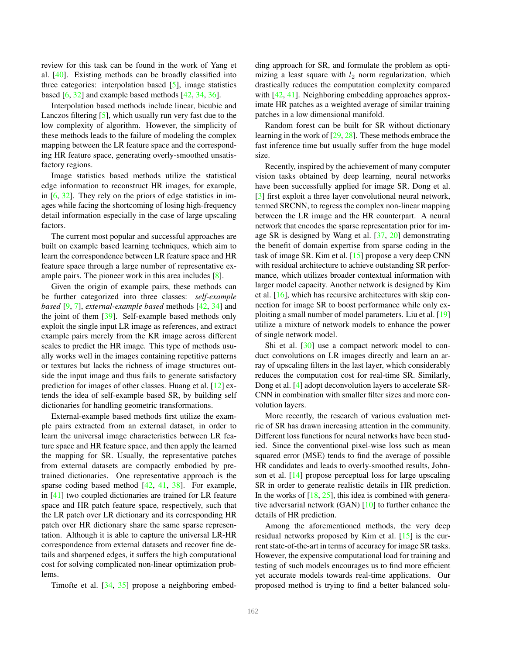<span id="page-1-0"></span>review for this task can be found in the work of Yang et al. [\[40\]](#page-6-1). Existing methods can be broadly classified into three categories: interpolation based [\[5\]](#page-5-4), image statistics based [\[6,](#page-5-5) [32\]](#page-6-2) and example based methods [\[42,](#page-6-3) [34,](#page-6-4) [36\]](#page-6-5).

Interpolation based methods include linear, bicubic and Lanczos filtering [\[5\]](#page-5-4), which usually run very fast due to the low complexity of algorithm. However, the simplicity of these methods leads to the failure of modeling the complex mapping between the LR feature space and the corresponding HR feature space, generating overly-smoothed unsatisfactory regions.

Image statistics based methods utilize the statistical edge information to reconstruct HR images, for example, in  $[6, 32]$  $[6, 32]$ . They rely on the priors of edge statistics in images while facing the shortcoming of losing high-frequency detail information especially in the case of large upscaling factors.

The current most popular and successful approaches are built on example based learning techniques, which aim to learn the correspondence between LR feature space and HR feature space through a large number of representative example pairs. The pioneer work in this area includes [\[8\]](#page-5-6).

Given the origin of example pairs, these methods can be further categorized into three classes: *self-example based* [\[9,](#page-5-7) [7\]](#page-5-8), *external-example based* methods [\[42,](#page-6-3) [34\]](#page-6-4) and the joint of them [\[39\]](#page-6-6). Self-example based methods only exploit the single input LR image as references, and extract example pairs merely from the KR image across different scales to predict the HR image. This type of methods usually works well in the images containing repetitive patterns or textures but lacks the richness of image structures outside the input image and thus fails to generate satisfactory prediction for images of other classes. Huang et al. [\[12\]](#page-5-9) extends the idea of self-example based SR, by building self dictionaries for handling geometric transformations.

External-example based methods first utilize the example pairs extracted from an external dataset, in order to learn the universal image characteristics between LR feature space and HR feature space, and then apply the learned the mapping for SR. Usually, the representative patches from external datasets are compactly embodied by pretrained dictionaries. One representative approach is the sparse coding based method [\[42,](#page-6-3) [41,](#page-6-7) [38\]](#page-6-8). For example, in [\[41\]](#page-6-7) two coupled dictionaries are trained for LR feature space and HR patch feature space, respectively, such that the LR patch over LR dictionary and its corresponding HR patch over HR dictionary share the same sparse representation. Although it is able to capture the universal LR-HR correspondence from external datasets and recover fine details and sharpened edges, it suffers the high computational cost for solving complicated non-linear optimization problems.

Timofte et al. [\[34,](#page-6-4) [35\]](#page-6-9) propose a neighboring embed-

ding approach for SR, and formulate the problem as optimizing a least square with  $l_2$  norm regularization, which drastically reduces the computation complexity compared with [\[42,](#page-6-3) [41\]](#page-6-7). Neighboring embedding approaches approximate HR patches as a weighted average of similar training patches in a low dimensional manifold.

Random forest can be built for SR without dictionary learning in the work of [\[29,](#page-6-10) [28\]](#page-6-11). These methods embrace the fast inference time but usually suffer from the huge model size.

Recently, inspired by the achievement of many computer vision tasks obtained by deep learning, neural networks have been successfully applied for image SR. Dong et al. [\[3\]](#page-5-10) first exploit a three layer convolutional neural network, termed SRCNN, to regress the complex non-linear mapping between the LR image and the HR counterpart. A neural network that encodes the sparse representation prior for image SR is designed by Wang et al. [\[37,](#page-6-12) [20\]](#page-6-13) demonstrating the benefit of domain expertise from sparse coding in the task of image SR. Kim et al. [\[15\]](#page-5-11) propose a very deep CNN with residual architecture to achieve outstanding SR performance, which utilizes broader contextual information with larger model capacity. Another network is designed by Kim et al. [\[16\]](#page-5-1), which has recursive architectures with skip connection for image SR to boost performance while only exploiting a small number of model parameters. Liu et al. [\[19\]](#page-6-14) utilize a mixture of network models to enhance the power of single network model.

Shi et al. [\[30\]](#page-6-15) use a compact network model to conduct convolutions on LR images directly and learn an array of upscaling filters in the last layer, which considerably reduces the computation cost for real-time SR. Similarly, Dong et al. [\[4\]](#page-5-12) adopt deconvolution layers to accelerate SR-CNN in combination with smaller filter sizes and more convolution layers.

More recently, the research of various evaluation metric of SR has drawn increasing attention in the community. Different loss functions for neural networks have been studied. Since the conventional pixel-wise loss such as mean squared error (MSE) tends to find the average of possible HR candidates and leads to overly-smoothed results, Johnson et al. [\[14\]](#page-5-13) propose perceptual loss for large upscaling SR in order to generate realistic details in HR prediction. In the works of  $[18, 25]$  $[18, 25]$ , this idea is combined with generative adversarial network (GAN)  $[10]$  to further enhance the details of HR prediction.

Among the aforementioned methods, the very deep residual networks proposed by Kim et al. [\[15\]](#page-5-11) is the current state-of-the-art in terms of accuracy for image SR tasks. However, the expensive computational load for training and testing of such models encourages us to find more efficient yet accurate models towards real-time applications. Our proposed method is trying to find a better balanced solu-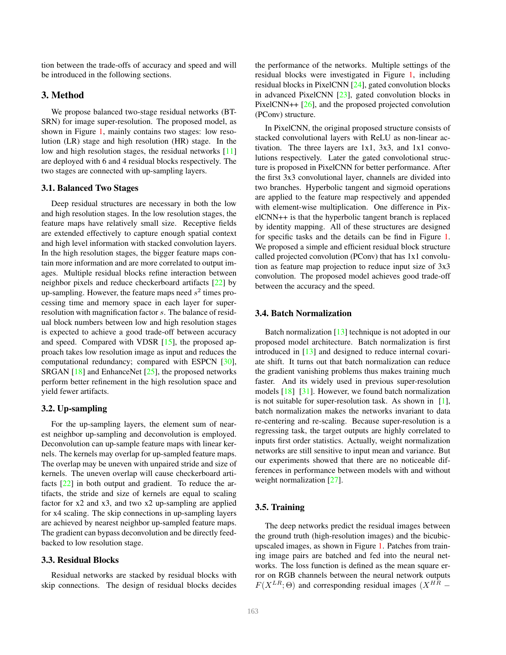<span id="page-2-1"></span>tion between the trade-offs of accuracy and speed and will be introduced in the following sections.

# <span id="page-2-0"></span>3. Method

We propose balanced two-stage residual networks (BT-SRN) for image super-resolution. The proposed model, as shown in Figure [1,](#page-3-1) mainly contains two stages: low resolution (LR) stage and high resolution (HR) stage. In the low and high resolution stages, the residual networks [\[11\]](#page-5-0) are deployed with 6 and 4 residual blocks respectively. The two stages are connected with up-sampling layers.

#### 3.1. Balanced Two Stages

Deep residual structures are necessary in both the low and high resolution stages. In the low resolution stages, the feature maps have relatively small size. Receptive fields are extended effectively to capture enough spatial context and high level information with stacked convolution layers. In the high resolution stages, the bigger feature maps contain more information and are more correlated to output images. Multiple residual blocks refine interaction between neighbor pixels and reduce checkerboard artifacts [\[22\]](#page-6-18) by up-sampling. However, the feature maps need  $s^2$  times processing time and memory space in each layer for superresolution with magnification factor s. The balance of residual block numbers between low and high resolution stages is expected to achieve a good trade-off between accuracy and speed. Compared with VDSR [\[15\]](#page-5-11), the proposed approach takes low resolution image as input and reduces the computational redundancy; compared with ESPCN [\[30\]](#page-6-15), SRGAN [\[18\]](#page-6-16) and EnhanceNet [\[25\]](#page-6-17), the proposed networks perform better refinement in the high resolution space and yield fewer artifacts.

# 3.2. Up-sampling

For the up-sampling layers, the element sum of nearest neighbor up-sampling and deconvolution is employed. Deconvolution can up-sample feature maps with linear kernels. The kernels may overlap for up-sampled feature maps. The overlap may be uneven with unpaired stride and size of kernels. The uneven overlap will cause checkerboard artifacts [\[22\]](#page-6-18) in both output and gradient. To reduce the artifacts, the stride and size of kernels are equal to scaling factor for x2 and x3, and two x2 up-sampling are applied for x4 scaling. The skip connections in up-sampling layers are achieved by nearest neighbor up-sampled feature maps. The gradient can bypass deconvolution and be directly feedbacked to low resolution stage.

#### 3.3. Residual Blocks

Residual networks are stacked by residual blocks with skip connections. The design of residual blocks decides

the performance of the networks. Multiple settings of the residual blocks were investigated in Figure [1,](#page-3-1) including residual blocks in PixelCNN [\[24\]](#page-6-19), gated convolution blocks in advanced PixelCNN [\[23\]](#page-6-20), gated convolution blocks in PixelCNN++ [\[26\]](#page-6-21), and the proposed projected convolution (PConv) structure.

In PixelCNN, the original proposed structure consists of stacked convolutional layers with ReLU as non-linear activation. The three layers are 1x1, 3x3, and 1x1 convolutions respectively. Later the gated convolotional structure is proposed in PixelCNN for better performance. After the first 3x3 convolutional layer, channels are divided into two branches. Hyperbolic tangent and sigmoid operations are applied to the feature map respectively and appended with element-wise multiplication. One difference in PixelCNN++ is that the hyperbolic tangent branch is replaced by identity mapping. All of these structures are designed for specific tasks and the details can be find in Figure [1.](#page-3-1) We proposed a simple and efficient residual block structure called projected convolution (PConv) that has 1x1 convolution as feature map projection to reduce input size of 3x3 convolution. The proposed model achieves good trade-off between the accuracy and the speed.

### 3.4. Batch Normalization

Batch normalization [\[13\]](#page-5-2) technique is not adopted in our proposed model architecture. Batch normalization is first introduced in [\[13\]](#page-5-2) and designed to reduce internal covariate shift. It turns out that batch normalization can reduce the gradient vanishing problems thus makes training much faster. And its widely used in previous super-resolution models [\[18\]](#page-6-16) [\[31\]](#page-6-22). However, we found batch normalization is not suitable for super-resolution task. As shown in [\[1\]](#page-5-15), batch normalization makes the networks invariant to data re-centering and re-scaling. Because super-resolution is a regressing task, the target outputs are highly correlated to inputs first order statistics. Actually, weight normalization networks are still sensitive to input mean and variance. But our experiments showed that there are no noticeable differences in performance between models with and without weight normalization [\[27\]](#page-6-23).

#### 3.5. Training

The deep networks predict the residual images between the ground truth (high-resolution images) and the bicubicupscaled images, as shown in Figure [1.](#page-3-1) Patches from training image pairs are batched and fed into the neural networks. The loss function is defined as the mean square error on RGB channels between the neural network outputs  $F(X^{LR}; \Theta)$  and corresponding residual images  $(X^{HR} -$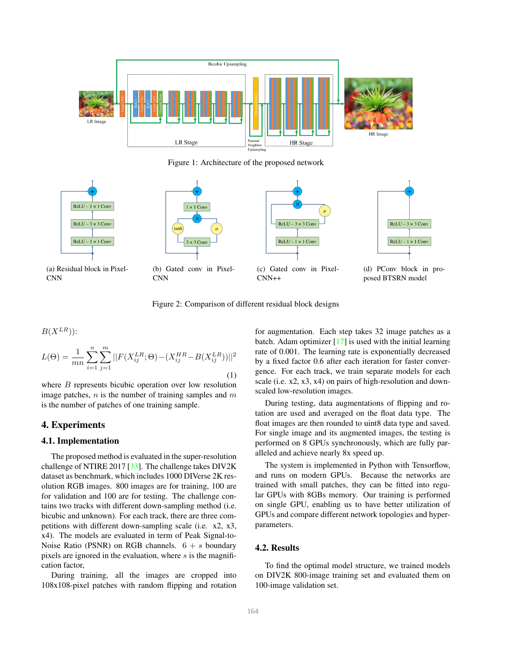<span id="page-3-3"></span><span id="page-3-1"></span>

Figure 1: Architecture of the proposed network

<span id="page-3-2"></span>



(a) Residual block in Pixel-CNN





(c) Gated conv in Pixel-CNN++

 $RELU - 3 \times 3 Conv$  $ReLU - 1 \times 1 Conv$ 

(d) PConv block in proposed BTSRN model

# Figure 2: Comparison of different residual block designs

$$
L(\Theta) = \frac{1}{mn} \sum_{i=1}^{n} \sum_{j=1}^{m} ||F(X_{ij}^{LR}; \Theta) - (X_{ij}^{HR} - B(X_{ij}^{LR}))||^{2}
$$
\n(1)

where *B* represents bicubic operation over low resolution image patches,  $n$  is the number of training samples and  $m$ is the number of patches of one training sample.

# <span id="page-3-0"></span>4. Experiments

 $\mathbf{p}(\mathbf{V}LR)$ ).

# 4.1. Implementation

The proposed method is evaluated in the super-resolution challenge of NTIRE 2017 [\[33\]](#page-6-0). The challenge takes DIV2K dataset as benchmark, which includes 1000 DIVerse 2K resolution RGB images. 800 images are for training, 100 are for validation and 100 are for testing. The challenge contains two tracks with different down-sampling method (i.e. bicubic and unknown). For each track, there are three competitions with different down-sampling scale (i.e. x2, x3, x4). The models are evaluated in term of Peak Signal-to-Noise Ratio (PSNR) on RGB channels.  $6 + s$  boundary pixels are ignored in the evaluation, where  $s$  is the magnification factor,

During training, all the images are cropped into 108x108-pixel patches with random flipping and rotation for augmentation. Each step takes 32 image patches as a batch. Adam optimizer [\[17\]](#page-5-16) is used with the initial learning rate of 0.001. The learning rate is exponentially decreased by a fixed factor 0.6 after each iteration for faster convergence. For each track, we train separate models for each scale (i.e. x2, x3, x4) on pairs of high-resolution and downscaled low-resolution images.

During testing, data augmentations of flipping and rotation are used and averaged on the float data type. The float images are then rounded to uint8 data type and saved. For single image and its augmented images, the testing is performed on 8 GPUs synchronously, which are fully paralleled and achieve nearly 8x speed up.

The system is implemented in Python with Tensorflow, and runs on modern GPUs. Because the networks are trained with small patches, they can be fitted into regular GPUs with 8GBs memory. Our training is performed on single GPU, enabling us to have better utilization of GPUs and compare different network topologies and hyperparameters.

#### 4.2. Results

To find the optimal model structure, we trained models on DIV2K 800-image training set and evaluated them on 100-image validation set.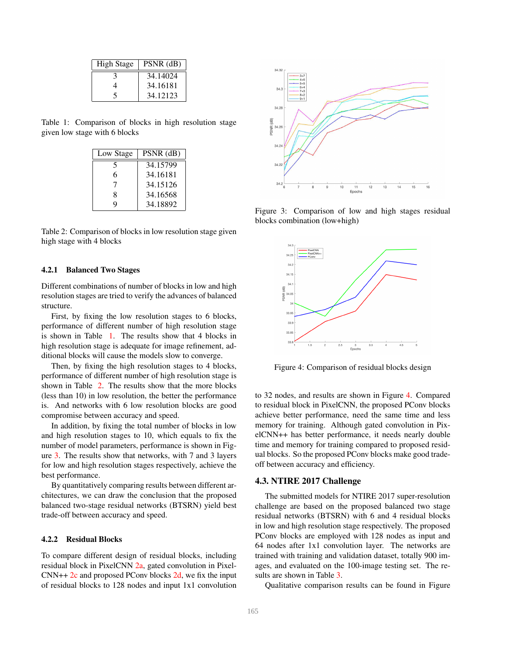<span id="page-4-0"></span>

| <b>High Stage</b> | $PSNR$ (dB) |
|-------------------|-------------|
|                   | 34.14024    |
|                   | 34.16181    |
|                   | 34.12123    |

<span id="page-4-1"></span>Table 1: Comparison of blocks in high resolution stage given low stage with 6 blocks

| Low Stage | $PSNR$ (dB) |
|-----------|-------------|
| 5         | 34.15799    |
| 6         | 34.16181    |
|           | 34.15126    |
| 8         | 34.16568    |
| Q         | 34.18892    |

Table 2: Comparison of blocks in low resolution stage given high stage with 4 blocks

#### 4.2.1 Balanced Two Stages

Different combinations of number of blocks in low and high resolution stages are tried to verify the advances of balanced structure.

First, by fixing the low resolution stages to 6 blocks, performance of different number of high resolution stage is shown in Table [1.](#page-4-0) The results show that 4 blocks in high resolution stage is adequate for image refinement, additional blocks will cause the models slow to converge.

Then, by fixing the high resolution stages to 4 blocks, performance of different number of high resolution stage is shown in Table [2.](#page-4-1) The results show that the more blocks (less than 10) in low resolution, the better the performance is. And networks with 6 low resolution blocks are good compromise between accuracy and speed.

In addition, by fixing the total number of blocks in low and high resolution stages to 10, which equals to fix the number of model parameters, performance is shown in Figure [3.](#page-4-2) The results show that networks, with 7 and 3 layers for low and high resolution stages respectively, achieve the best performance.

By quantitatively comparing results between different architectures, we can draw the conclusion that the proposed balanced two-stage residual networks (BTSRN) yield best trade-off between accuracy and speed.

#### 4.2.2 Residual Blocks

To compare different design of residual blocks, including residual block in PixelCNN [2a,](#page-3-2) gated convolution in Pixel- $CNN++2c$  $CNN++2c$  and proposed PConv blocks [2d,](#page-3-2) we fix the input of residual blocks to 128 nodes and input 1x1 convolution

<span id="page-4-2"></span>

Figure 3: Comparison of low and high stages residual blocks combination (low+high)

<span id="page-4-3"></span>

Figure 4: Comparison of residual blocks design

to 32 nodes, and results are shown in Figure [4.](#page-4-3) Compared to residual block in PixelCNN, the proposed PConv blocks achieve better performance, need the same time and less memory for training. Although gated convolution in PixelCNN++ has better performance, it needs nearly double time and memory for training compared to proposed residual blocks. So the proposed PConv blocks make good tradeoff between accuracy and efficiency.

#### 4.3. NTIRE 2017 Challenge

The submitted models for NTIRE 2017 super-resolution challenge are based on the proposed balanced two stage residual networks (BTSRN) with 6 and 4 residual blocks in low and high resolution stage respectively. The proposed PConv blocks are employed with 128 nodes as input and 64 nodes after 1x1 convolution layer. The networks are trained with training and validation dataset, totally 900 images, and evaluated on the 100-image testing set. The results are shown in Table [3.](#page-5-17)

Qualitative comparison results can be found in Figure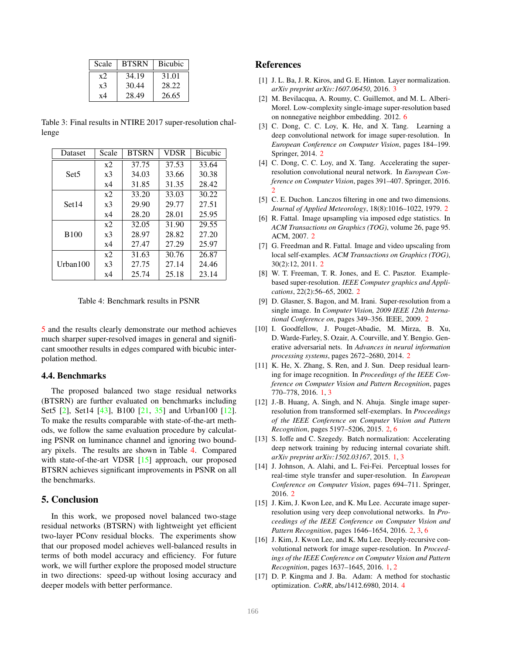<span id="page-5-20"></span><span id="page-5-17"></span>

| Scale          | <b>BTSRN</b> | <b>Bicubic</b> |
|----------------|--------------|----------------|
| x2             | 34.19        | 31.01          |
| x <sub>3</sub> | 30.44        | 28.22          |
| x4             | 28.49        | 26.65          |

Table 3: Final results in NTIRE 2017 super-resolution challenge

<span id="page-5-19"></span>

| Dataset           | Scale          | <b>BTSRN</b> | <b>VDSR</b> | <b>Bicubic</b> |
|-------------------|----------------|--------------|-------------|----------------|
| Set <sub>5</sub>  | $x^2$          | 37.75        | 37.53       | 33.64          |
|                   | x <sub>3</sub> | 34.03        | 33.66       | 30.38          |
|                   | x4             | 31.85        | 31.35       | 28.42          |
| Set <sub>14</sub> | x2             | 33.20        | 33.03       | 30.22          |
|                   | x3             | 29.90        | 29.77       | 27.51          |
|                   | x4             | 28.20        | 28.01       | 25.95          |
|                   | $x^2$          | 32.05        | 31.90       | 29.55          |
| <b>B100</b>       | x3             | 28.97        | 28.82       | 27.20          |
|                   | x4             | 27.47        | 27.29       | 25.97          |
| Urban $100$       | x2             | 31.63        | 30.76       | 26.87          |
|                   | x <sub>3</sub> | 27.75        | 27.14       | 24.46          |
|                   | x4             | 25.74        | 25.18       | 23.14          |

Table 4: Benchmark results in PSNR

[5](#page-7-0) and the results clearly demonstrate our method achieves much sharper super-resolved images in general and significant smoother results in edges compared with bicubic interpolation method.

#### 4.4. Benchmarks

The proposed balanced two stage residual networks (BTSRN) are further evaluated on benchmarks including Set5 [\[2\]](#page-5-18), Set14 [\[43\]](#page-6-24), B100 [\[21,](#page-6-25) [35\]](#page-6-9) and Urban100 [\[12\]](#page-5-9). To make the results comparable with state-of-the-art methods, we follow the same evaluation procedure by calculating PSNR on luminance channel and ignoring two boundary pixels. The results are shown in Table [4.](#page-5-19) Compared with state-of-the-art VDSR [\[15\]](#page-5-11) approach, our proposed BTSRN achieves significant improvements in PSNR on all the benchmarks.

# <span id="page-5-3"></span>5. Conclusion

In this work, we proposed novel balanced two-stage residual networks (BTSRN) with lightweight yet efficient two-layer PConv residual blocks. The experiments show that our proposed model achieves well-balanced results in terms of both model accuracy and efficiency. For future work, we will further explore the proposed model structure in two directions: speed-up without losing accuracy and deeper models with better performance.

# References

- <span id="page-5-15"></span>[1] J. L. Ba, J. R. Kiros, and G. E. Hinton. Layer normalization. *arXiv preprint arXiv:1607.06450*, 2016. [3](#page-2-1)
- <span id="page-5-18"></span>[2] M. Bevilacqua, A. Roumy, C. Guillemot, and M. L. Alberi-Morel. Low-complexity single-image super-resolution based on nonnegative neighbor embedding. 2012. [6](#page-5-20)
- <span id="page-5-10"></span>[3] C. Dong, C. C. Loy, K. He, and X. Tang. Learning a deep convolutional network for image super-resolution. In *European Conference on Computer Vision*, pages 184–199. Springer, 2014. [2](#page-1-0)
- <span id="page-5-12"></span>[4] C. Dong, C. C. Loy, and X. Tang. Accelerating the superresolution convolutional neural network. In *European Conference on Computer Vision*, pages 391–407. Springer, 2016. [2](#page-1-0)
- <span id="page-5-4"></span>[5] C. E. Duchon. Lanczos filtering in one and two dimensions. *Journal of Applied Meteorology*, 18(8):1016–1022, 1979. [2](#page-1-0)
- <span id="page-5-5"></span>[6] R. Fattal. Image upsampling via imposed edge statistics. In *ACM Transactions on Graphics (TOG)*, volume 26, page 95. ACM, 2007. [2](#page-1-0)
- <span id="page-5-8"></span>[7] G. Freedman and R. Fattal. Image and video upscaling from local self-examples. *ACM Transactions on Graphics (TOG)*, 30(2):12, 2011. [2](#page-1-0)
- <span id="page-5-6"></span>[8] W. T. Freeman, T. R. Jones, and E. C. Pasztor. Examplebased super-resolution. *IEEE Computer graphics and Applications*, 22(2):56–65, 2002. [2](#page-1-0)
- <span id="page-5-7"></span>[9] D. Glasner, S. Bagon, and M. Irani. Super-resolution from a single image. In *Computer Vision, 2009 IEEE 12th International Conference on*, pages 349–356. IEEE, 2009. [2](#page-1-0)
- <span id="page-5-14"></span>[10] I. Goodfellow, J. Pouget-Abadie, M. Mirza, B. Xu, D. Warde-Farley, S. Ozair, A. Courville, and Y. Bengio. Generative adversarial nets. In *Advances in neural information processing systems*, pages 2672–2680, 2014. [2](#page-1-0)
- <span id="page-5-0"></span>[11] K. He, X. Zhang, S. Ren, and J. Sun. Deep residual learning for image recognition. In *Proceedings of the IEEE Conference on Computer Vision and Pattern Recognition*, pages 770–778, 2016. [1,](#page-0-1) [3](#page-2-1)
- <span id="page-5-9"></span>[12] J.-B. Huang, A. Singh, and N. Ahuja. Single image superresolution from transformed self-exemplars. In *Proceedings of the IEEE Conference on Computer Vision and Pattern Recognition*, pages 5197–5206, 2015. [2,](#page-1-0) [6](#page-5-20)
- <span id="page-5-2"></span>[13] S. Ioffe and C. Szegedy. Batch normalization: Accelerating deep network training by reducing internal covariate shift. *arXiv preprint arXiv:1502.03167*, 2015. [1,](#page-0-1) [3](#page-2-1)
- <span id="page-5-13"></span>[14] J. Johnson, A. Alahi, and L. Fei-Fei. Perceptual losses for real-time style transfer and super-resolution. In *European Conference on Computer Vision*, pages 694–711. Springer, 2016. [2](#page-1-0)
- <span id="page-5-11"></span>[15] J. Kim, J. Kwon Lee, and K. Mu Lee. Accurate image superresolution using very deep convolutional networks. In *Proceedings of the IEEE Conference on Computer Vision and Pattern Recognition*, pages 1646–1654, 2016. [2,](#page-1-0) [3,](#page-2-1) [6](#page-5-20)
- <span id="page-5-1"></span>[16] J. Kim, J. Kwon Lee, and K. Mu Lee. Deeply-recursive convolutional network for image super-resolution. In *Proceedings of the IEEE Conference on Computer Vision and Pattern Recognition*, pages 1637–1645, 2016. [1,](#page-0-1) [2](#page-1-0)
- <span id="page-5-16"></span>[17] D. P. Kingma and J. Ba. Adam: A method for stochastic optimization. *CoRR*, abs/1412.6980, 2014. [4](#page-3-3)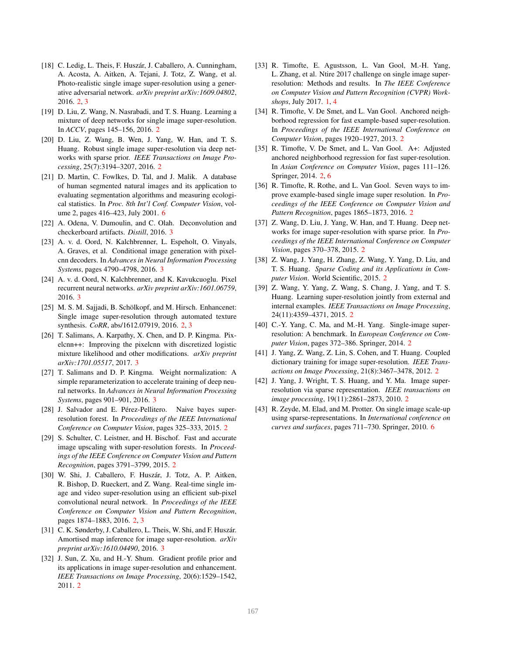- <span id="page-6-16"></span>[18] C. Ledig, L. Theis, F. Huszár, J. Caballero, A. Cunningham, A. Acosta, A. Aitken, A. Tejani, J. Totz, Z. Wang, et al. Photo-realistic single image super-resolution using a generative adversarial network. *arXiv preprint arXiv:1609.04802*, 2016. [2,](#page-1-0) [3](#page-2-1)
- <span id="page-6-14"></span>[19] D. Liu, Z. Wang, N. Nasrabadi, and T. S. Huang. Learning a mixture of deep networks for single image super-resolution. In *ACCV*, pages 145–156, 2016. [2](#page-1-0)
- <span id="page-6-13"></span>[20] D. Liu, Z. Wang, B. Wen, J. Yang, W. Han, and T. S. Huang. Robust single image super-resolution via deep networks with sparse prior. *IEEE Transactions on Image Processing*, 25(7):3194–3207, 2016. [2](#page-1-0)
- <span id="page-6-25"></span>[21] D. Martin, C. Fowlkes, D. Tal, and J. Malik. A database of human segmented natural images and its application to evaluating segmentation algorithms and measuring ecological statistics. In *Proc. 8th Int'l Conf. Computer Vision*, volume 2, pages 416–423, July 2001. [6](#page-5-20)
- <span id="page-6-18"></span>[22] A. Odena, V. Dumoulin, and C. Olah. Deconvolution and checkerboard artifacts. *Distill*, 2016. [3](#page-2-1)
- <span id="page-6-20"></span>[23] A. v. d. Oord, N. Kalchbrenner, L. Espeholt, O. Vinyals, A. Graves, et al. Conditional image generation with pixelcnn decoders. In *Advances in Neural Information Processing Systems*, pages 4790–4798, 2016. [3](#page-2-1)
- <span id="page-6-19"></span>[24] A. v. d. Oord, N. Kalchbrenner, and K. Kavukcuoglu. Pixel recurrent neural networks. *arXiv preprint arXiv:1601.06759*, 2016. [3](#page-2-1)
- <span id="page-6-17"></span>[25] M. S. M. Sajjadi, B. Schölkopf, and M. Hirsch. Enhancenet: Single image super-resolution through automated texture synthesis. *CoRR*, abs/1612.07919, 2016. [2,](#page-1-0) [3](#page-2-1)
- <span id="page-6-21"></span>[26] T. Salimans, A. Karpathy, X. Chen, and D. P. Kingma. Pixelcnn++: Improving the pixelcnn with discretized logistic mixture likelihood and other modifications. *arXiv preprint arXiv:1701.05517*, 2017. [3](#page-2-1)
- <span id="page-6-23"></span>[27] T. Salimans and D. P. Kingma. Weight normalization: A simple reparameterization to accelerate training of deep neural networks. In *Advances in Neural Information Processing Systems*, pages 901–901, 2016. [3](#page-2-1)
- <span id="page-6-11"></span>[28] J. Salvador and E. Pérez-Pellitero. Naive bayes superresolution forest. In *Proceedings of the IEEE International Conference on Computer Vision*, pages 325–333, 2015. [2](#page-1-0)
- <span id="page-6-10"></span>[29] S. Schulter, C. Leistner, and H. Bischof. Fast and accurate image upscaling with super-resolution forests. In *Proceedings of the IEEE Conference on Computer Vision and Pattern Recognition*, pages 3791–3799, 2015. [2](#page-1-0)
- <span id="page-6-15"></span>[30] W. Shi, J. Caballero, F. Huszár, J. Totz, A. P. Aitken, R. Bishop, D. Rueckert, and Z. Wang. Real-time single image and video super-resolution using an efficient sub-pixel convolutional neural network. In *Proceedings of the IEEE Conference on Computer Vision and Pattern Recognition*, pages 1874–1883, 2016. [2,](#page-1-0) [3](#page-2-1)
- <span id="page-6-22"></span>[31] C. K. Sønderby, J. Caballero, L. Theis, W. Shi, and F. Huszár. Amortised map inference for image super-resolution. *arXiv preprint arXiv:1610.04490*, 2016. [3](#page-2-1)
- <span id="page-6-2"></span>[32] J. Sun, Z. Xu, and H.-Y. Shum. Gradient profile prior and its applications in image super-resolution and enhancement. *IEEE Transactions on Image Processing*, 20(6):1529–1542, 2011. [2](#page-1-0)
- <span id="page-6-0"></span>[33] R. Timofte, E. Agustsson, L. Van Gool, M.-H. Yang, L. Zhang, et al. Ntire 2017 challenge on single image superresolution: Methods and results. In *The IEEE Conference on Computer Vision and Pattern Recognition (CVPR) Workshops*, July 2017. [1,](#page-0-1) [4](#page-3-3)
- <span id="page-6-4"></span>[34] R. Timofte, V. De Smet, and L. Van Gool. Anchored neighborhood regression for fast example-based super-resolution. In *Proceedings of the IEEE International Conference on Computer Vision*, pages 1920–1927, 2013. [2](#page-1-0)
- <span id="page-6-9"></span>[35] R. Timofte, V. De Smet, and L. Van Gool. A+: Adjusted anchored neighborhood regression for fast super-resolution. In *Asian Conference on Computer Vision*, pages 111–126. Springer, 2014. [2,](#page-1-0) [6](#page-5-20)
- <span id="page-6-5"></span>[36] R. Timofte, R. Rothe, and L. Van Gool. Seven ways to improve example-based single image super resolution. In *Proceedings of the IEEE Conference on Computer Vision and Pattern Recognition*, pages 1865–1873, 2016. [2](#page-1-0)
- <span id="page-6-12"></span>[37] Z. Wang, D. Liu, J. Yang, W. Han, and T. Huang. Deep networks for image super-resolution with sparse prior. In *Proceedings of the IEEE International Conference on Computer Vision*, pages 370–378, 2015. [2](#page-1-0)
- <span id="page-6-8"></span>[38] Z. Wang, J. Yang, H. Zhang, Z. Wang, Y. Yang, D. Liu, and T. S. Huang. *Sparse Coding and its Applications in Computer Vision*. World Scientific, 2015. [2](#page-1-0)
- <span id="page-6-6"></span>[39] Z. Wang, Y. Yang, Z. Wang, S. Chang, J. Yang, and T. S. Huang. Learning super-resolution jointly from external and internal examples. *IEEE Transactions on Image Processing*, 24(11):4359–4371, 2015. [2](#page-1-0)
- <span id="page-6-1"></span>[40] C.-Y. Yang, C. Ma, and M.-H. Yang. Single-image superresolution: A benchmark. In *European Conference on Computer Vision*, pages 372–386. Springer, 2014. [2](#page-1-0)
- <span id="page-6-7"></span>[41] J. Yang, Z. Wang, Z. Lin, S. Cohen, and T. Huang. Coupled dictionary training for image super-resolution. *IEEE Transactions on Image Processing*, 21(8):3467–3478, 2012. [2](#page-1-0)
- <span id="page-6-3"></span>[42] J. Yang, J. Wright, T. S. Huang, and Y. Ma. Image superresolution via sparse representation. *IEEE transactions on image processing*, 19(11):2861–2873, 2010. [2](#page-1-0)
- <span id="page-6-24"></span>[43] R. Zeyde, M. Elad, and M. Protter. On single image scale-up using sparse-representations. In *International conference on curves and surfaces*, pages 711–730. Springer, 2010. [6](#page-5-20)